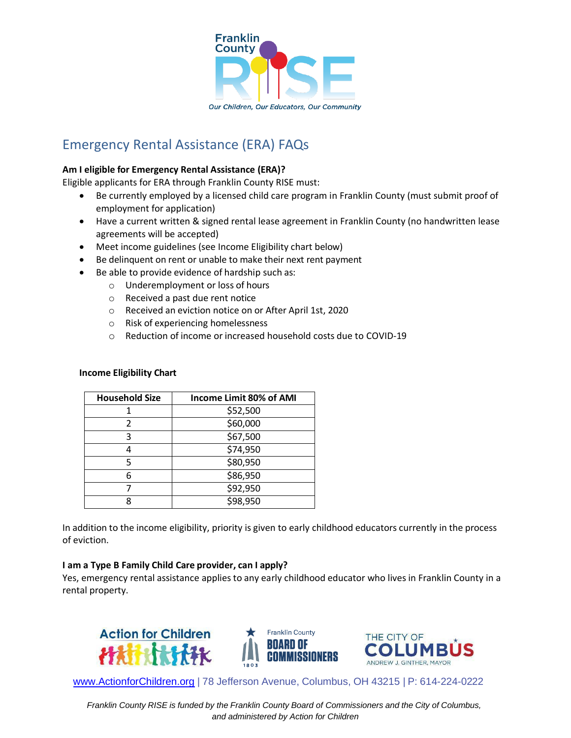

# Emergency Rental Assistance (ERA) FAQs

#### **Am I eligible for Emergency Rental Assistance (ERA)?**

Eligible applicants for ERA through Franklin County RISE must:

- Be currently employed by a licensed child care program in Franklin County (must submit proof of employment for application)
- Have a current written & signed rental lease agreement in Franklin County (no handwritten lease agreements will be accepted)
- Meet income guidelines (see Income Eligibility chart below)
- Be delinquent on rent or unable to make their next rent payment
- Be able to provide evidence of hardship such as:
	- o Underemployment or loss of hours
	- o Received a past due rent notice
	- o Received an eviction notice on or After April 1st, 2020
	- o Risk of experiencing homelessness
	- o Reduction of income or increased household costs due to COVID-19

#### **Income Eligibility Chart**

| <b>Household Size</b> | Income Limit 80% of AMI |
|-----------------------|-------------------------|
|                       | \$52,500                |
| 2                     | \$60,000                |
| 3                     | \$67,500                |
| 4                     | \$74,950                |
| 5                     | \$80,950                |
| 6                     | \$86,950                |
|                       | \$92,950                |
|                       | \$98,950                |

In addition to the income eligibility, priority is given to early childhood educators currently in the process of eviction.

#### **I am a Type B Family Child Care provider, can I apply?**

Yes, emergency rental assistance applies to any early childhood educator who lives in Franklin County in a rental property.



[www.ActionforChildren.org](http://www.actionforchildren.org/) | 78 Jefferson Avenue, Columbus, OH 43215 | P: 614-224-0222

*Franklin County RISE is funded by the Franklin County Board of Commissioners and the City of Columbus, and administered by Action for Children*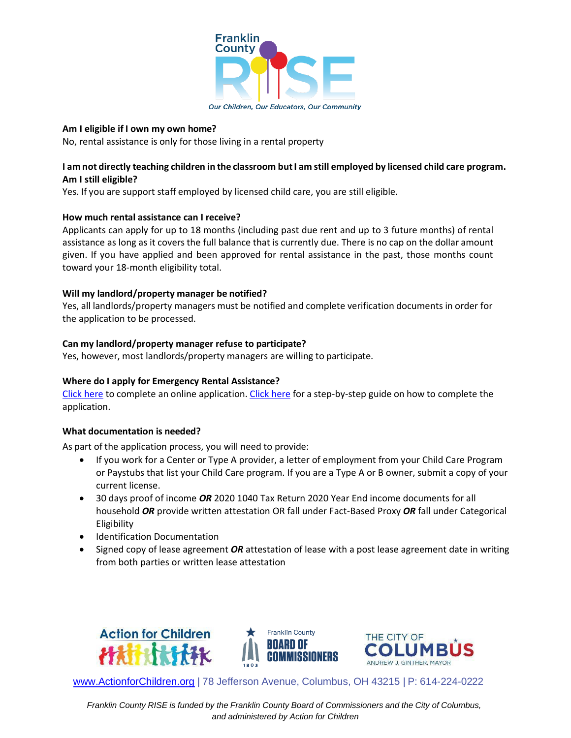

#### Our Children, Our Educators, Our Community

#### **Am I eligible if I own my own home?**

No, rental assistance is only for those living in a rental property

## I am not directly teaching children in the classroom but I am still employed by licensed child care program.  **Am I still eligible?**

Yes. If you are support staff employed by licensed child care, you are still eligible.

#### **How much rental assistance can I receive?**

Applicants can apply for up to 18 months (including past due rent and up to 3 future months) of rental assistance as long as it covers the full balance that is currently due. There is no cap on the dollar amount given. If you have applied and been approved for rental assistance in the past, those months count toward your 18-month eligibility total.

#### **Will my landlord/property manager be notified?**

Yes, all landlords/property managers must be notified and complete verification documents in order for the application to be processed.

#### **Can my landlord/property manager refuse to participate?**

Yes, however, most landlords/property managers are willing to participate.

## **Where do I apply for Emergency Rental Assistance?**

[Click](https://columbus.applyforhope.org/frank_era2_AFC%23/) here to complete an online application. [Click](https://www.actionforchildren.org/wp-content/uploads/2022/06/ERA-Application-Guide-Final-w-LinksAFC-Edits.pdf) here for a step-by-step guide on how to complete the application.

#### **What documentation is needed?**

As part of the application process, you will need to provide:

- If you work for a Center or Type A provider, a letter of employment from your Child Care Program or Paystubs that list your Child Care program. If you are a Type A or B owner, submit a copy of your current license.
- 30 days proof of income *OR* 2020 1040 Tax Return 2020 Year End income documents for all household *OR* provide written attestation OR fall under Fact-Based Proxy *OR* fall under Categorical Eligibility
- Identification Documentation
- Signed copy of lease agreement *OR* attestation of lease with a post lease agreement date in writing from both parties or written lease attestation







[www.ActionforChildren.org](http://www.actionforchildren.org/) | 78 Jefferson Avenue, Columbus, OH 43215 | P: 614-224-0222

*Franklin County RISE is funded by the Franklin County Board of Commissioners and the City of Columbus, and administered by Action for Children*